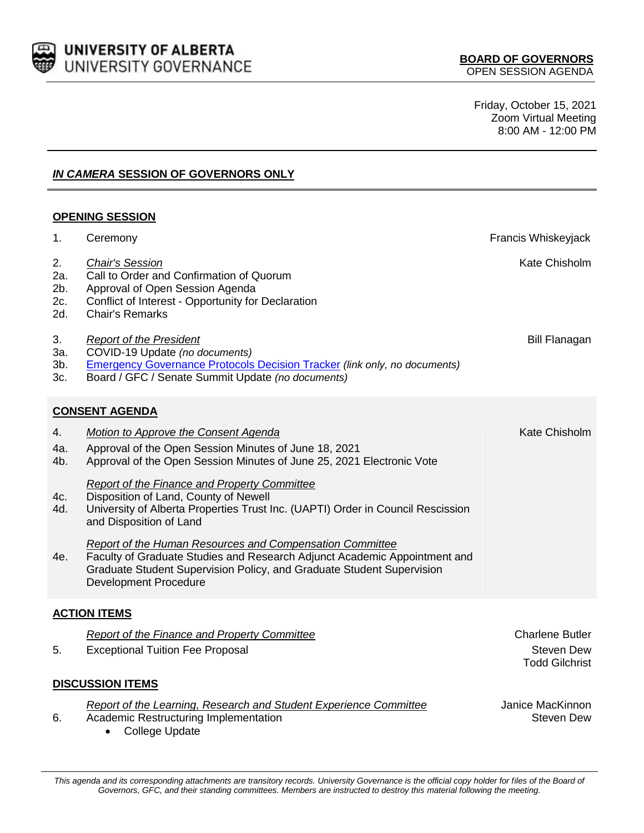

Friday, October 15, 2021 Zoom Virtual Meeting 8:00 AM - 12:00 PM

## *IN CAMERA* **SESSION OF GOVERNORS ONLY**

## **OPENING SESSION**

| 1.                             | Ceremony                                                                                                                                                                                                                                       | Francis Whiskeyjack                                                  |  |
|--------------------------------|------------------------------------------------------------------------------------------------------------------------------------------------------------------------------------------------------------------------------------------------|----------------------------------------------------------------------|--|
| 2.<br>2a.<br>2b.<br>2c.<br>2d. | <b>Chair's Session</b><br>Call to Order and Confirmation of Quorum<br>Approval of Open Session Agenda<br>Conflict of Interest - Opportunity for Declaration<br><b>Chair's Remarks</b>                                                          | Kate Chisholm                                                        |  |
| 3.<br>За.<br>$3b$ .<br>3c.     | <b>Report of the President</b><br>COVID-19 Update (no documents)<br><b>Emergency Governance Protocols Decision Tracker (link only, no documents)</b><br>Board / GFC / Senate Summit Update (no documents)                                      | <b>Bill Flanagan</b>                                                 |  |
| <b>CONSENT AGENDA</b>          |                                                                                                                                                                                                                                                |                                                                      |  |
| 4.                             | Motion to Approve the Consent Agenda                                                                                                                                                                                                           | Kate Chisholm                                                        |  |
| 4a.<br>4b.                     | Approval of the Open Session Minutes of June 18, 2021<br>Approval of the Open Session Minutes of June 25, 2021 Electronic Vote                                                                                                                 |                                                                      |  |
| 4c.<br>4d.                     | Report of the Finance and Property Committee<br>Disposition of Land, County of Newell<br>University of Alberta Properties Trust Inc. (UAPTI) Order in Council Rescission<br>and Disposition of Land                                            |                                                                      |  |
| 4e.                            | Report of the Human Resources and Compensation Committee<br>Faculty of Graduate Studies and Research Adjunct Academic Appointment and<br>Graduate Student Supervision Policy, and Graduate Student Supervision<br><b>Development Procedure</b> |                                                                      |  |
| <b>ACTION ITEMS</b>            |                                                                                                                                                                                                                                                |                                                                      |  |
| 5.                             | <b>Report of the Finance and Property Committee</b><br><b>Exceptional Tuition Fee Proposal</b>                                                                                                                                                 | <b>Charlene Butler</b><br><b>Steven Dew</b><br><b>Todd Gilchrist</b> |  |
| <b>DISCUSSION ITEMS</b>        |                                                                                                                                                                                                                                                |                                                                      |  |
| 6.                             | Report of the Learning, Research and Student Experience Committee<br>Academic Restructuring Implementation<br><b>College Update</b>                                                                                                            | Janice MacKinnon<br><b>Steven Dew</b>                                |  |